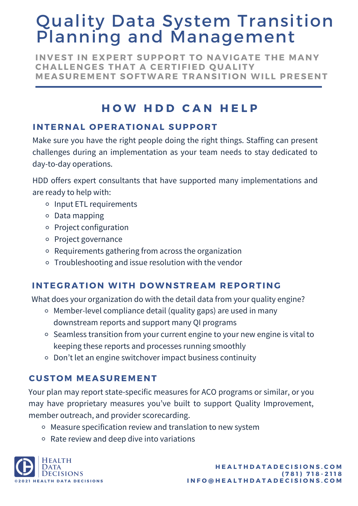# Quality Data System Transition Planning and Management

**INVEST IN EXPERT SUPPORT TO NAVIGATE THE MANY CHALLENGES THAT A CERTIFIED Q UALITY MEASUREMENT S O FTWARE TRANSITI O N WILL PRESENT**

# **H O W H D D C A N H E L P**

## **INTERNAL OPERATIONAL SUPPORT**

Make sure you have the right people doing the right things. Staffing can present challenges during an implementation as your team needs to stay dedicated to day-to-day operations.

HDD offers expert consultants that have supported many implementations and are ready to help with:

- o Input ETL requirements
- Data mapping
- o Project configuration
- o Project governance
- Requirements gathering from across the organization
- Troubleshooting and issue resolution with the vendor

#### **INTEGRATION WITH DOWNSTREAM REPORTING**

What does your organization do with the detail data from your quality engine?

- Member-level compliance detail (quality gaps) are used in many downstream reports and support many QI programs
- Seamless transition from your current engine to your new engine is vital to keeping these reports and processes running smoothly
- Don't let an engine switchover impact business continuity

### **CUST OM MEASUREMENT**

Your plan may report state-specific measures for ACO programs or similar, or you may have proprietary measures you've built to support Quality Improvement, member outreach, and provider scorecarding.

- Measure specification review and translation to new system
- Rate review and deep dive into variations